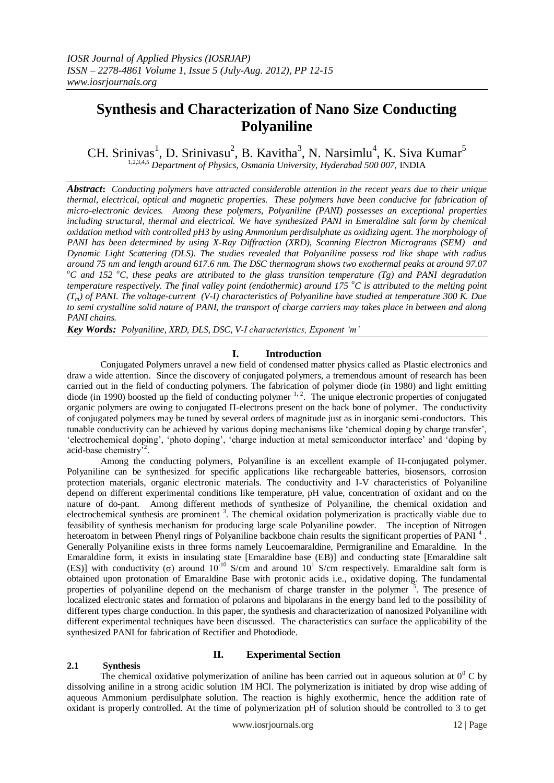# **Synthesis and Characterization of Nano Size Conducting Polyaniline**

CH. Srinivas<sup>1</sup>, D. Srinivasu<sup>2</sup>, B. Kavitha<sup>3</sup>, N. Narsimlu<sup>4</sup>, K. Siva Kumar<sup>5</sup> <sup>1,2,3,4,5</sup> Department of Physics, Osmania University, Hyderabad 500 007, INDIA

*Abstract***:** *Conducting polymers have attracted considerable attention in the recent years due to their unique thermal, electrical, optical and magnetic properties. These polymers have been conducive for fabrication of micro-electronic devices. Among these polymers, Polyaniline (PANI) possesses an exceptional properties including structural, thermal and electrical. We have synthesized PANI in Emeraldine salt form by chemical oxidation method with controlled pH3 by using Ammonium perdisulphate as oxidizing agent. The morphology of PANI has been determined by using X-Ray Diffraction (XRD), Scanning Electron Micrograms (SEM) and Dynamic Light Scattering (DLS). The studies revealed that Polyaniline possess rod like shape with radius around 75 nm and length around 617.6 nm. The DSC thermogram shows two exothermal peaks at around 97.07*   $\degree$ C and 152  $\degree$ C, these peaks are attributed to the glass transition temperature (Tg) and PANI degradation *temperature respectively. The final valley point (endothermic) around 175 <sup>o</sup>C is attributed to the melting point (Tm) of PANI. The voltage-current (V-I) characteristics of Polyaniline have studied at temperature 300 K. Due to semi crystalline solid nature of PANI, the transport of charge carriers may takes place in between and along PANI chains.*

*Key Words: Polyaniline, XRD, DLS, DSC, V-I characteristics, Exponent 'm'*

## **I. Introduction**

Conjugated Polymers unravel a new field of condensed matter physics called as Plastic electronics and draw a wide attention. Since the discovery of conjugated polymers, a tremendous amount of research has been carried out in the field of conducting polymers. The fabrication of polymer diode (in 1980) and light emitting diode (in 1990) boosted up the field of conducting polymer  $1, 2$ . The unique electronic properties of conjugated organic polymers are owing to conjugated Π-electrons present on the back bone of polymer. The conductivity of conjugated polymers may be tuned by several orders of magnitude just as in inorganic semi-conductors. This tunable conductivity can be achieved by various doping mechanisms like 'chemical doping by charge transfer', 'electrochemical doping', 'photo doping', 'charge induction at metal semiconductor interface' and 'doping by acid-base chemistry<sup>52</sup>.

Among the conducting polymers, Polyaniline is an excellent example of Π-conjugated polymer. Polyaniline can be synthesized for specific applications like rechargeable batteries, biosensors, corrosion protection materials, organic electronic materials. The conductivity and I-V characteristics of Polyaniline depend on different experimental conditions like temperature, pH value, concentration of oxidant and on the nature of do-pant. Among different methods of synthesize of Polyaniline, the chemical oxidation and electrochemical synthesis are prominent<sup>3</sup>. The chemical oxidation polymerization is practically viable due to feasibility of synthesis mechanism for producing large scale Polyaniline powder. The inception of Nitrogen heteroatom in between Phenyl rings of Polyaniline backbone chain results the significant properties of PANI<sup>4</sup>. Generally Polyaniline exists in three forms namely Leucoemaraldine, Permigraniline and Emaraldine. In the Emaraldine form, it exists in insulating state [Emaraldine base (EB)] and conducting state [Emaraldine salt (ES)] with conductivity (σ) around  $10^{-10}$  S/cm and around  $10^{1}$  S/cm respectively. Emaraldine salt form is obtained upon protonation of Emaraldine Base with protonic acids i.e., oxidative doping. The fundamental properties of polyaniline depend on the mechanism of charge transfer in the polymer<sup>5</sup>. The presence of localized electronic states and formation of polarons and bipolarans in the energy band led to the possibility of different types charge conduction. In this paper, the synthesis and characterization of nanosized Polyaniline with different experimental techniques have been discussed. The characteristics can surface the applicability of the synthesized PANI for fabrication of Rectifier and Photodiode.

### **2.1 Synthesis**

## **II. Experimental Section**

The chemical oxidative polymerization of aniline has been carried out in aqueous solution at  $0^0$  C by dissolving aniline in a strong acidic solution 1M HCl. The polymerization is initiated by drop wise adding of aqueous Ammonium perdisulphate solution. The reaction is highly exothermic, hence the addition rate of oxidant is properly controlled. At the time of polymerization pH of solution should be controlled to 3 to get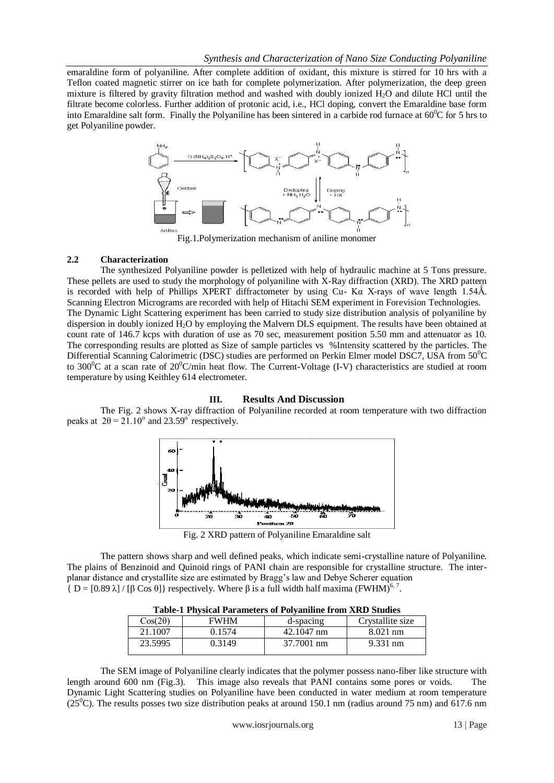emaraldine form of polyaniline. After complete addition of oxidant, this mixture is stirred for 10 hrs with a Teflon coated magnetic stirrer on ice bath for complete polymerization. After polymerization, the deep green mixture is filtered by gravity filtration method and washed with doubly ionized H2O and dilute HCl until the filtrate become colorless. Further addition of protonic acid, i.e., HCl doping, convert the Emaraldine base form into Emaraldine salt form. Finally the Polyaniline has been sintered in a carbide rod furnace at  $60^{\circ}$ C for 5 hrs to get Polyaniline powder.



Fig.1.Polymerization mechanism of aniline monomer

# **2.2 Characterization**

The synthesized Polyaniline powder is pelletized with help of hydraulic machine at 5 Tons pressure. These pellets are used to study the morphology of polyaniline with X-Ray diffraction (XRD). The XRD pattern is recorded with help of Phillips XPERT diffractometer by using Cu- K $\alpha$  X-rays of wave length 1.54Å. Scanning Electron Micrograms are recorded with help of Hitachi SEM experiment in Forevision Technologies. The Dynamic Light Scattering experiment has been carried to study size distribution analysis of polyaniline by dispersion in doubly ionized H<sub>2</sub>O by employing the Malvern DLS equipment. The results have been obtained at count rate of 146.7 kcps with duration of use as 70 sec, measurement position 5.50 mm and attenuator as 10. The corresponding results are plotted as Size of sample particles vs %Intensity scattered by the particles. The Differential Scanning Calorimetric (DSC) studies are performed on Perkin Elmer model DSC7, USA from 50<sup>o</sup>C to 300 $^{\circ}$ C at a scan rate of 20 $^{\circ}$ C/min heat flow. The Current-Voltage (I-V) characteristics are studied at room temperature by using Keithley 614 electrometer.

#### **III. Results And Discussion**

The Fig. 2 shows X-ray diffraction of Polyaniline recorded at room temperature with two diffraction peaks at  $2\theta = 21.10^{\circ}$  and  $23.59^{\circ}$  respectively.



Fig. 2 XRD pattern of Polyaniline Emaraldine salt

The pattern shows sharp and well defined peaks, which indicate semi-crystalline nature of Polyaniline. The plains of Benzinoid and Quinoid rings of PANI chain are responsible for crystalline structure. The interplanar distance and crystallite size are estimated by Bragg's law and Debye Scherer equation  ${\rm [D=[0.89 \lambda]/[ \beta \cos \theta]}$  respectively. Where  $\beta$  is a full width half maxima (FWHM)<sup>6,7</sup>.

| Table-T I hysical I alameters of I oryanimic II only AKD Studies |             |            |                    |
|------------------------------------------------------------------|-------------|------------|--------------------|
| $Cos(2\theta)$                                                   | <b>FWHM</b> | d-spacing  | Crystallite size   |
| 21.1007                                                          | 0.1574      | 42.1047 nm | $8.021$ nm         |
| 23.5995                                                          | 0.3149      | 37.7001 nm | $9.331 \text{ nm}$ |

**Table-1 Physical Parameters of Polyaniline from XRD Studies**

The SEM image of Polyaniline clearly indicates that the polymer possess nano-fiber like structure with length around 600 nm (Fig.3). This image also reveals that PANI contains some pores or voids. Dynamic Light Scattering studies on Polyaniline have been conducted in water medium at room temperature ( $25^{\circ}$ C). The results posses two size distribution peaks at around 150.1 nm (radius around 75 nm) and 617.6 nm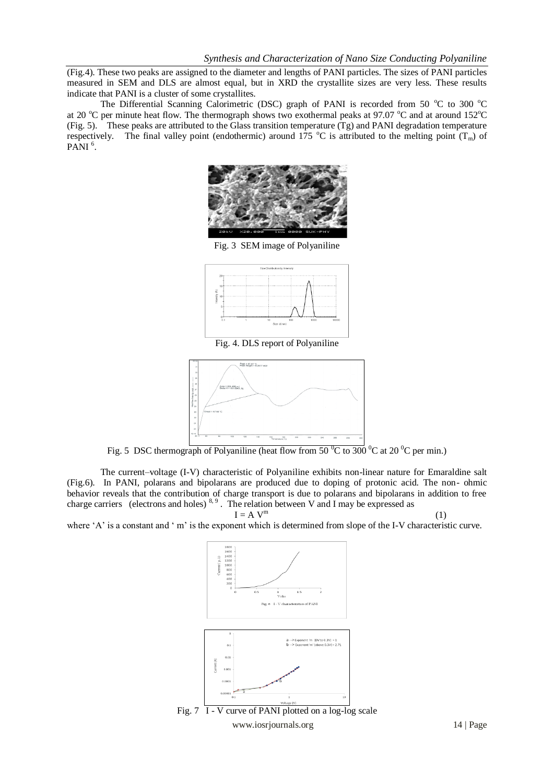(Fig.4). These two peaks are assigned to the diameter and lengths of PANI particles. The sizes of PANI particles measured in SEM and DLS are almost equal, but in XRD the crystallite sizes are very less. These results indicate that PANI is a cluster of some crystallites.

The Differential Scanning Calorimetric (DSC) graph of PANI is recorded from 50  $^{\circ}$ C to 300  $^{\circ}$ C at 20  $^{\circ}$ C per minute heat flow. The thermograph shows two exothermal peaks at 97.07  $^{\circ}$ C and at around 152 $^{\circ}$ C (Fig. 5). These peaks are attributed to the Glass transition temperature (Tg) and PANI degradation temperature respectively. The final valley point (endothermic) around 175  $^{\circ}$ C is attributed to the melting point (T<sub>m</sub>) of PANI<sup>6</sup>.



Fig. 3 SEM image of Polyaniline



Fig. 4. DLS report of Polyaniline



Fig. 5 DSC thermograph of Polyaniline (heat flow from 50  $\mathrm{^0C}$  to 300  $\mathrm{^0C}$  at 20  $\mathrm{^0C}$  per min.)

The current–voltage (I-V) characteristic of Polyaniline exhibits non-linear nature for Emaraldine salt (Fig.6). In PANI, polarans and bipolarans are produced due to doping of protonic acid. The non- ohmic behavior reveals that the contribution of charge transport is due to polarans and bipolarans in addition to free charge carriers (electrons and holes)  $8.9$ . The relation between V and I may be expressed as

 $I = A V^m$ 

(1)

where 'A' is a constant and ' m' is the exponent which is determined from slope of the I-V characteristic curve.





www.iosrjournals.org 14 | Page